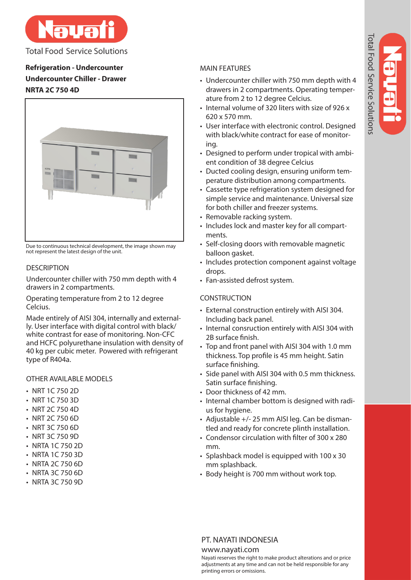

**Total Food Service Solutions** 

**Refrigeration - Undercounter Undercounter Chiller - Drawer NRTA 2C 750 4D**



Due to continuous technical development, the image shown may not represent the latest design of the unit.

# **DESCRIPTION**

Undercounter chiller with 750 mm depth with 4 drawers in 2 compartments.

Operating temperature from 2 to 12 degree Celcius.

Made entirely of AISI 304, internally and externally. User interface with digital control with black/ white contrast for ease of monitoring. Non-CFC and HCFC polyurethane insulation with density of 40 kg per cubic meter. Powered with refrigerant type of R404a.

# OTHER AVAILABLE MODELS

- NRT 1C 750 2D
- NRT 1C 750 3D
- NRT 2C 750 4D
- NRT 2C 750 6D
- NRT 3C 750 6D
- NRT 3C 750 9D
- NRTA 1C 750 2D
- NRTA 1C 750 3D
- NRTA 2C 750 6D
- NRTA 3C 750 6D
- NRTA 3C 750 9D

# MAIN FEATURES

- Undercounter chiller with 750 mm depth with 4 drawers in 2 compartments. Operating temperature from 2 to 12 degree Celcius.
- Internal volume of 320 liters with size of 926 x 620 x 570 mm.
- User interface with electronic control. Designed with black/white contract for ease of monitoring.
- Designed to perform under tropical with ambient condition of 38 degree Celcius
- Ducted cooling design, ensuring uniform temperature distribution among compartments.
- Cassette type refrigeration system designed for simple service and maintenance. Universal size for both chiller and freezer systems.
- Removable racking system.
- Includes lock and master key for all compartments.
- Self-closing doors with removable magnetic balloon gasket.
- Includes protection component against voltage drops.
- Fan-assisted defrost system.

# **CONSTRUCTION**

- External construction entirely with AISI 304. Including back panel.
- Internal consruction entirely with AISI 304 with 2B surface finish.
- Top and front panel with AISI 304 with 1.0 mm thickness. Top profile is 45 mm height. Satin surface finishing.
- Side panel with AISI 304 with 0.5 mm thickness. Satin surface finishing.
- Door thickness of 42 mm.
- Internal chamber bottom is designed with radius for hygiene.
- Adjustable +/- 25 mm AISI leg. Can be dismantled and ready for concrete plinth installation.
- Condensor circulation with filter of 300 x 280 mm.
- Splashback model is equipped with 100 x 30 mm splashback.
- Body height is 700 mm without work top.

# PT. NAYATI INDONESIA

## www.nayati.com

Nayati reserves the right to make product alterations and or price adjustments at any time and can not be held responsible for any printing errors or omissions.